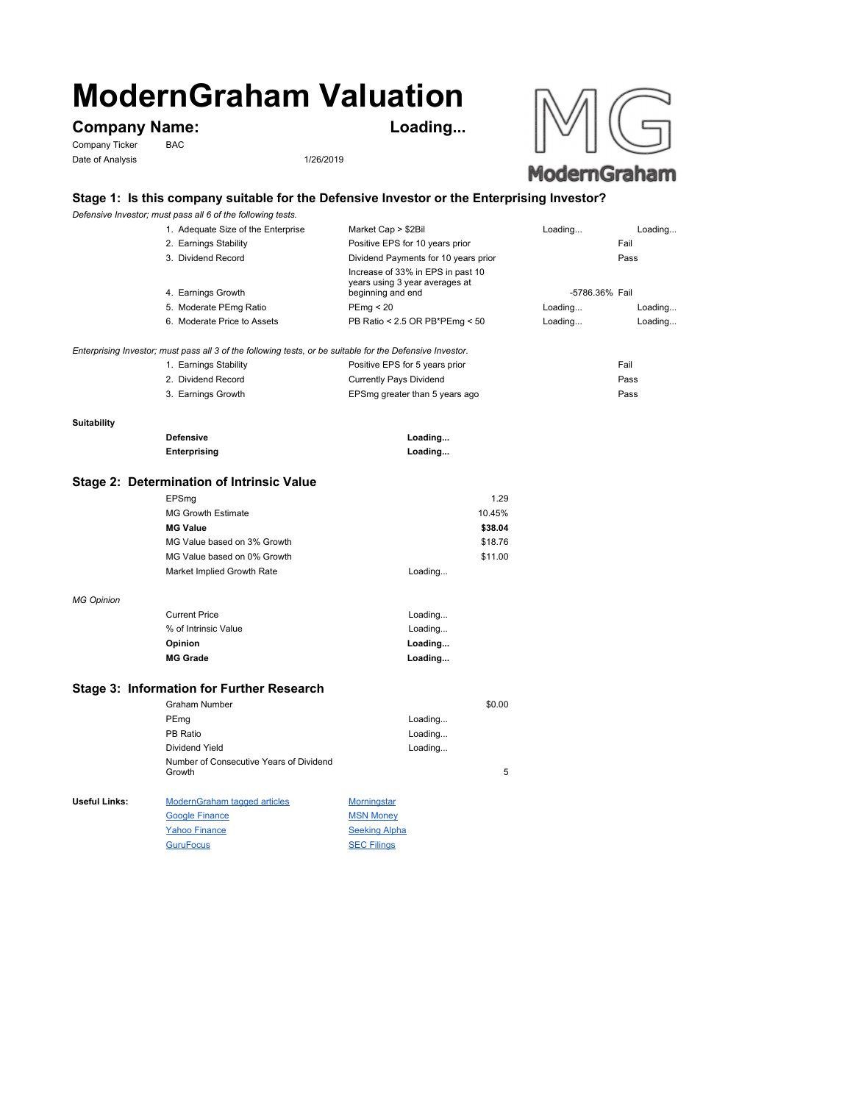# **ModernGraham Valuation**

GuruFocus SEC Filings

## **Company Name: Loading...**

Company Ticker BAC Date of Analysis 1/26/2019



#### **Stage 1: Is this company suitable for the Defensive Investor or the Enterprising Investor?**

*Defensive Investor; must pass all 6 of the following tests.*

|                    | 1. Adequate Size of the Enterprise                                                                        | Market Cap > \$2Bil                                                                      | Loading        | Loading |
|--------------------|-----------------------------------------------------------------------------------------------------------|------------------------------------------------------------------------------------------|----------------|---------|
|                    | 2. Earnings Stability                                                                                     | Positive EPS for 10 years prior                                                          |                | Fail    |
|                    | 3. Dividend Record                                                                                        | Dividend Payments for 10 years prior                                                     |                | Pass    |
|                    | 4. Earnings Growth                                                                                        | Increase of 33% in EPS in past 10<br>years using 3 year averages at<br>beginning and end | -5786.36% Fail |         |
|                    | 5. Moderate PEmg Ratio                                                                                    | PEmp < 20                                                                                | Loading        | Loading |
|                    | 6. Moderate Price to Assets                                                                               | PB Ratio < 2.5 OR PB*PEmg < 50                                                           | Loading        | Loading |
|                    |                                                                                                           |                                                                                          |                |         |
|                    | Enterprising Investor; must pass all 3 of the following tests, or be suitable for the Defensive Investor. |                                                                                          |                |         |
|                    | 1. Earnings Stability                                                                                     | Positive EPS for 5 years prior                                                           |                | Fail    |
|                    | 2. Dividend Record                                                                                        | <b>Currently Pays Dividend</b>                                                           |                | Pass    |
|                    | 3. Earnings Growth                                                                                        | EPSmg greater than 5 years ago                                                           |                | Pass    |
|                    |                                                                                                           |                                                                                          |                |         |
| <b>Suitability</b> |                                                                                                           |                                                                                          |                |         |
|                    | <b>Defensive</b>                                                                                          | Loading                                                                                  |                |         |
|                    | Enterprising                                                                                              | Loading                                                                                  |                |         |
|                    | Stage 2: Determination of Intrinsic Value                                                                 |                                                                                          |                |         |
|                    | EPSmg                                                                                                     | 1.29                                                                                     |                |         |
|                    | <b>MG Growth Estimate</b>                                                                                 | 10.45%                                                                                   |                |         |
|                    | <b>MG Value</b>                                                                                           | \$38.04                                                                                  |                |         |
|                    | MG Value based on 3% Growth                                                                               | \$18.76                                                                                  |                |         |
|                    | MG Value based on 0% Growth                                                                               | \$11.00                                                                                  |                |         |
|                    | Market Implied Growth Rate                                                                                | Loading                                                                                  |                |         |
|                    |                                                                                                           |                                                                                          |                |         |
| <b>MG Opinion</b>  |                                                                                                           |                                                                                          |                |         |
|                    | <b>Current Price</b>                                                                                      | Loading                                                                                  |                |         |
|                    | % of Intrinsic Value                                                                                      | Loading                                                                                  |                |         |
|                    | Opinion                                                                                                   | Loading                                                                                  |                |         |
|                    | <b>MG Grade</b>                                                                                           | Loading                                                                                  |                |         |
|                    |                                                                                                           |                                                                                          |                |         |
|                    | Stage 3: Information for Further Research                                                                 |                                                                                          |                |         |
|                    | Graham Number                                                                                             | \$0.00                                                                                   |                |         |
|                    | PEmg                                                                                                      | Loading                                                                                  |                |         |
|                    | PB Ratio                                                                                                  | Loading                                                                                  |                |         |
|                    | Dividend Yield                                                                                            | Loading                                                                                  |                |         |
|                    | Number of Consecutive Years of Dividend<br>Growth                                                         | 5                                                                                        |                |         |
|                    |                                                                                                           |                                                                                          |                |         |
| Useful Links:      | <b>ModernGraham tagged articles</b>                                                                       | <b>Morningstar</b>                                                                       |                |         |
|                    | <b>Google Finance</b>                                                                                     | <b>MSN Money</b>                                                                         |                |         |
|                    | <b>Yahoo Finance</b>                                                                                      | <b>Seeking Alpha</b>                                                                     |                |         |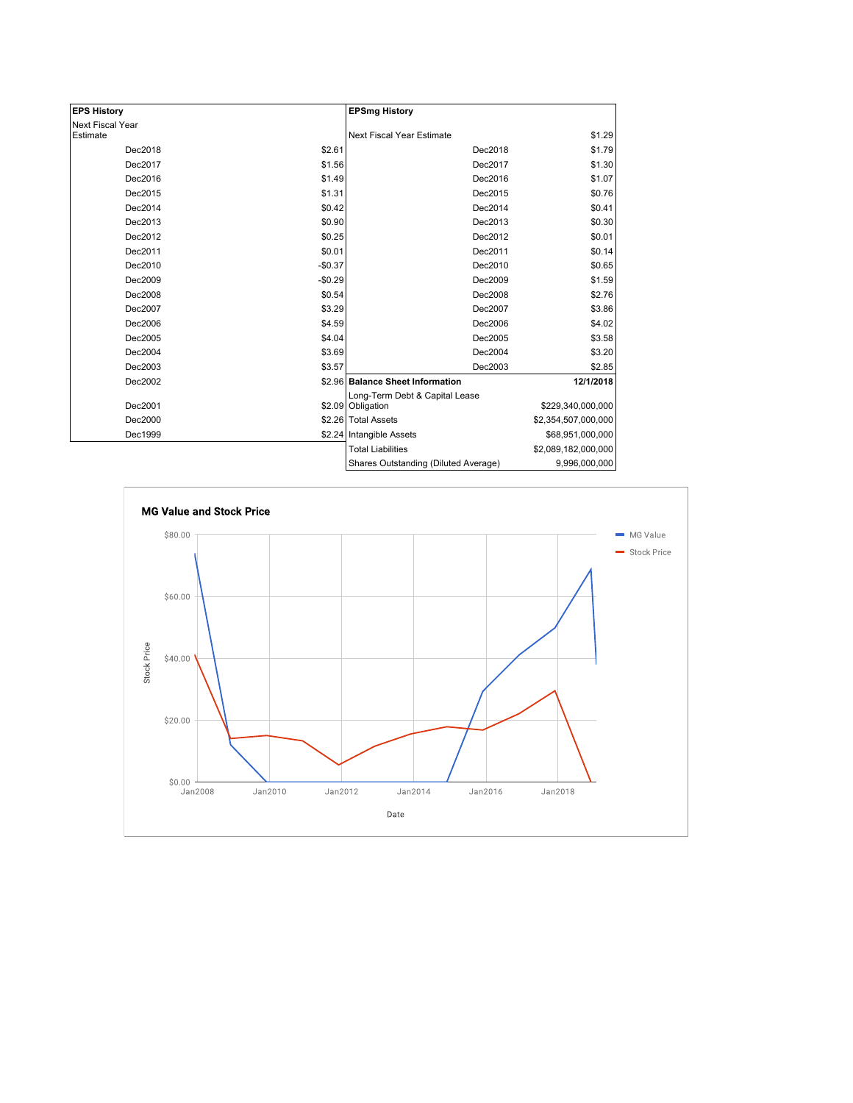| <b>EPS History</b> |          | <b>EPSmg History</b>                 |                     |  |
|--------------------|----------|--------------------------------------|---------------------|--|
| Next Fiscal Year   |          |                                      |                     |  |
| Estimate           |          | Next Fiscal Year Estimate            | \$1.29              |  |
| Dec2018            | \$2.61   | Dec2018                              | \$1.79              |  |
| Dec2017            | \$1.56   | Dec2017                              | \$1.30              |  |
| Dec2016            | \$1.49   | Dec2016                              | \$1.07              |  |
| Dec2015            | \$1.31   | Dec2015                              | \$0.76              |  |
| Dec2014            | \$0.42   | Dec2014                              | \$0.41              |  |
| Dec2013            | \$0.90   | Dec2013                              | \$0.30              |  |
| Dec2012            | \$0.25   | Dec2012                              | \$0.01              |  |
| Dec2011            | \$0.01   | Dec2011                              | \$0.14              |  |
| Dec2010            | $-$0.37$ | Dec2010                              | \$0.65              |  |
| Dec2009            | $-$0.29$ | Dec2009                              | \$1.59              |  |
| Dec2008            | \$0.54   | Dec2008                              | \$2.76              |  |
| Dec2007            | \$3.29   | Dec2007                              | \$3.86              |  |
| Dec2006            | \$4.59   | Dec2006                              | \$4.02              |  |
| Dec2005            | \$4.04   | Dec2005                              | \$3.58              |  |
| Dec2004            | \$3.69   | Dec2004                              | \$3.20              |  |
| Dec2003            | \$3.57   | Dec2003                              | \$2.85              |  |
| Dec2002            |          | \$2.96 Balance Sheet Information     | 12/1/2018           |  |
| Dec2001            |          | Long-Term Debt & Capital Lease       |                     |  |
|                    |          | \$2.09 Obligation                    | \$229,340,000,000   |  |
| Dec2000            |          | \$2.26 Total Assets                  | \$2,354,507,000,000 |  |
| Dec1999            |          | \$2.24 Intangible Assets             | \$68,951,000,000    |  |
|                    |          | <b>Total Liabilities</b>             | \$2,089,182,000,000 |  |
|                    |          | Shares Outstanding (Diluted Average) | 9,996,000,000       |  |